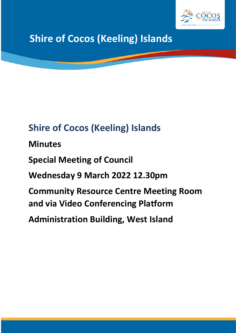

# **Shire of Cocos (Keeling) Islands**

# **Shire of Cocos (Keeling) Islands**

**Minutes**

**Special Meeting of Council** 

**Wednesday 9 March 2022 12.30pm** 

**Community Resource Centre Meeting Room and via Video Conferencing Platform**

**Administration Building, West Island**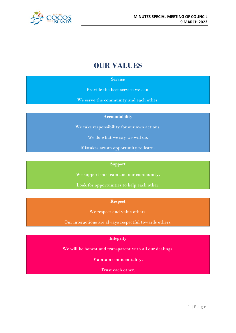

# **OUR VALUES**

#### **Service**

Provide the best service we can.

We serve the community and each other.

**Accountability**

We take responsibility for our own actions.

We do what we say we will do.

Mistakes are an opportunity to learn.

#### **Support**

We support our team and our community.

Look for opportunities to help each other.

**Respect**

We respect and value others.

Our interactions are always respectful towards others.

#### **Integrity**

We will be honest and transparent with all our dealings.

Maintain confidentiality.

Trust each other.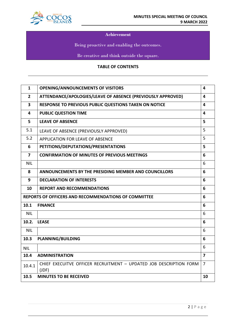

#### **Achievement**

Being proactive and enabling the outcomes.

Be creative and think outside the square.

#### **TABLE OF CONTENTS**

| $\mathbf{1}$                                                     | <b>OPENING/ANNOUNCEMENTS OF VISITORS</b>                                    | $\overline{\mathbf{4}}$ |
|------------------------------------------------------------------|-----------------------------------------------------------------------------|-------------------------|
| $\overline{2}$                                                   | ATTENDANCE/APOLOGIES/LEAVE OF ABSENCE (PREVIOUSLY APPROVED)                 | 4                       |
| $\overline{\mathbf{3}}$                                          | <b>RESPONSE TO PREVIOUS PUBLIC QUESTIONS TAKEN ON NOTICE</b>                | 4                       |
| 4                                                                | <b>PUBLIC QUESTION TIME</b>                                                 | 4                       |
| 5                                                                | <b>LEAVE OF ABSENCE</b>                                                     | 5                       |
| 5.1                                                              | LEAVE OF ABSENCE (PREVIOUSLY APPROVED)                                      | 5                       |
| 5.2                                                              | <b>APPLICATION FOR LEAVE OF ABSENCE</b>                                     | 5                       |
| 6                                                                | PETITIONS/DEPUTATIONS/PRESENTATIONS<br>5                                    |                         |
| $\overline{7}$                                                   | <b>CONFIRMATION OF MINUTES OF PREVIOUS MEETINGS</b>                         | 6                       |
| <b>NIL</b>                                                       |                                                                             | 6                       |
| 8                                                                | <b>ANNOUNCEMENTS BY THE PRESIDING MEMBER AND COUNCILLORS</b>                | 6                       |
| 9                                                                | <b>DECLARATION OF INTERESTS</b>                                             | 6                       |
| 10                                                               | <b>REPORT AND RECOMMENDATIONS</b>                                           | 6                       |
| <b>REPORTS OF OFFICERS AND RECOMMENDATIONS OF COMMITTEE</b><br>6 |                                                                             |                         |
| 10.1                                                             | <b>FINANCE</b>                                                              |                         |
| <b>NIL</b>                                                       |                                                                             | 6                       |
| 10.2.                                                            | <b>LEASE</b>                                                                | 6                       |
| <b>NIL</b>                                                       |                                                                             | 6                       |
| 10.3                                                             | <b>PLANNING/BUILDING</b>                                                    | 6                       |
| <b>NIL</b>                                                       |                                                                             | 6                       |
| 10.4                                                             | <b>ADMINISTRATION</b>                                                       | $\overline{\mathbf{z}}$ |
| 10.4.1                                                           | CHIEF EXECUITVE OFFICER RECRUITMENT - UPDATED JOB DESCRIPTION FORM<br>(JDF) | 7                       |
| 10.5                                                             | <b>MINUTES TO BE RECEIVED</b>                                               | 10                      |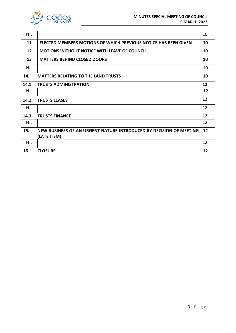

| <b>NIL</b>                                        |                                                                    | 10 |
|---------------------------------------------------|--------------------------------------------------------------------|----|
| 11                                                | ELECTED MEMBERS MOTIONS OF WHICH PREVIOUS NOTICE HAS BEEN GIVEN    | 10 |
| 12                                                | <b>MOTIONS WITHOUT NOTICE WITH LEAVE OF COUNCIL</b>                | 10 |
| 13                                                | <b>MATTERS BEHIND CLOSED DOORS</b>                                 | 10 |
| <b>NIL</b>                                        |                                                                    | 10 |
| <b>MATTERS RELATING TO THE LAND TRUSTS</b><br>14. |                                                                    | 10 |
| 14.1                                              | <b>TRUSTS ADMINISTRATION</b>                                       | 12 |
| <b>NIL</b>                                        |                                                                    | 12 |
| 14.2                                              | <b>TRUSTS LEASES</b>                                               |    |
| <b>NIL</b>                                        |                                                                    | 12 |
| 14.3                                              | <b>TRUSTS FINANCE</b>                                              | 12 |
| <b>NIL</b>                                        |                                                                    | 12 |
| 15.                                               | NEW BUSINESS OF AN URGENT NATURE INTRODUCED BY DECISION OF MEETING | 12 |
|                                                   | (LATE ITEM)                                                        |    |
| <b>NIL</b>                                        |                                                                    | 12 |
| 16.                                               | <b>CLOSURE</b>                                                     | 12 |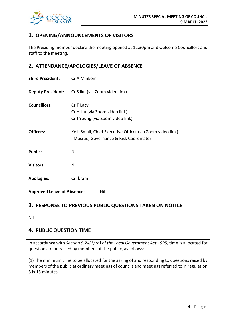

# **1. OPENING/ANNOUNCEMENTS OF VISITORS**

The Presiding member declare the meeting opened at 12.30pm and welcome Councillors and staff to the meeting.

# **2. ATTENDANCE/APOLOGIES/LEAVE OF ABSENCE**

| <b>Shire President:</b>                  | Cr A Minkom                                                                                           |  |
|------------------------------------------|-------------------------------------------------------------------------------------------------------|--|
| <b>Deputy President:</b>                 | Cr S Iku (via Zoom video link)                                                                        |  |
| <b>Councillors:</b>                      | Cr T Lacy<br>Cr H Liu (via Zoom video link)<br>Cr J Young (via Zoom video link)                       |  |
| <b>Officers:</b>                         | Kelli Small, Chief Executive Officer (via Zoom video link)<br>I Macrae, Governance & Risk Coordinator |  |
| <b>Public:</b>                           | Nil                                                                                                   |  |
| <b>Visitors:</b>                         | Nil                                                                                                   |  |
| <b>Apologies:</b>                        | Cr Ibram                                                                                              |  |
| <b>Approved Leave of Absence:</b><br>Nil |                                                                                                       |  |

# **3. RESPONSE TO PREVIOUS PUBLIC QUESTIONS TAKEN ON NOTICE**

Nil

# **4. PUBLIC QUESTION TIME**

In accordance with *Section 5.24(1) (a) of the Local Government Act 1995,* time is allocated for questions to be raised by members of the public, as follows:

(1) The minimum time to be allocated for the asking of and responding to questions raised by members of the public at ordinary meetings of councils and meetings referred to in regulation 5 is 15 minutes.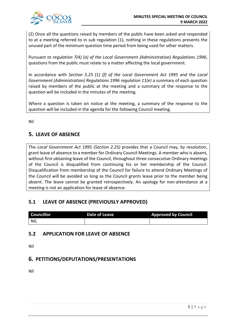

(2) Once all the questions raised by members of the public have been asked and responded to at a meeting referred to in sub regulation (1), nothing in these regulations prevents the unused part of the minimum question time period from being used for other matters.

Pursuant *to regulation 7(4) (a) of the Local Government (Administration) Regulations 1996*, questions from the public must relate to a matter affecting the local government.

In accordance with *Section 5.25 (1) (f) of the Local Government Act 1995* and the *Local Government (Administration) Regulations 1996 regulation 11(e)* a summary of each question raised by members of the public at the meeting and a summary of the response to the question will be included in the minutes of the meeting.

Where a question is taken on notice at the meeting, a summary of the response to the question will be included in the agenda for the following Council meeting.

Nil

# **5. LEAVE OF ABSENCE**

The *Local Government Act 1995 (Section 2.25)* provides that a Council may, by resolution, grant leave of absence to a member for Ordinary Council Meetings. A member who is absent, without first obtaining leave of the Council, throughout three consecutive Ordinary meetings of the Council is disqualified from continuing his or her membership of the Council. Disqualification from membership of the Council for failure to attend Ordinary Meetings of the Council will be avoided so long as the Council grants leave prior to the member being absent. The leave cannot be granted retrospectively. An apology for non-attendance at a meeting is not an application for leave of absence.

# **5.1 LEAVE OF ABSENCE (PREVIOUSLY APPROVED)**

| Councillor | Date of Leave | <b>Approved by Council</b> |
|------------|---------------|----------------------------|
| NIL        |               |                            |

# **5.2 APPLICATION FOR LEAVE OF ABSENCE**

Nil

# **6. PETITIONS/DEPUTATIONS/PRESENTATIONS**

Nil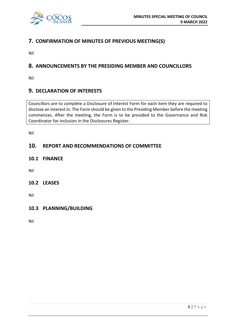

# **7. CONFIRMATION OF MINUTES OF PREVIOUS MEETING(S)**

Nil

# **8. ANNOUNCEMENTS BY THE PRESIDING MEMBER AND COUNCILLORS**

Nil

# **9. DECLARATION OF INTERESTS**

Councillors are to complete a Disclosure of Interest Form for each item they are required to disclose an interest in. The Form should be given to the Presiding Member before the meeting commences. After the meeting, the Form is to be provided to the Governance and Risk Coordinator for inclusion in the Disclosures Register.

Nil

## **10. REPORT AND RECOMMENDATIONS OF COMMITTEE**

**10.1 FINANCE**

Nil

#### **10.2 LEASES**

Nil

## **10.3 PLANNING/BUILDING**

Nil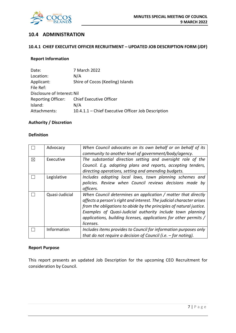

### **10.4 ADMINISTRATION**

#### **10.4.1 CHIEF EXECUITVE OFFICER RECRUITMENT – UPDATED JOB DESCRIPTION FORM (JDF)**

#### **Report Information**

| Date:                       | 7 March 2022                                       |  |  |
|-----------------------------|----------------------------------------------------|--|--|
| Location:                   | N/A                                                |  |  |
| Applicant:                  | Shire of Cocos (Keeling) Islands                   |  |  |
| File Ref:                   |                                                    |  |  |
| Disclosure of Interest: Nil |                                                    |  |  |
| <b>Reporting Officer:</b>   | Chief Executive Officer                            |  |  |
| Island:                     | N/A                                                |  |  |
| Attachments:                | 10.4.1.1 - Chief Executive Officer Job Description |  |  |

#### **Authority / Discretion**

#### **Definition**

|   | Advocacy       | When Council advocates on its own behalf or on behalf of its         |
|---|----------------|----------------------------------------------------------------------|
|   |                | community to another level of government/body/agency.                |
| X | Executive      | The substantial direction setting and oversight role of the          |
|   |                | Council. E.g. adopting plans and reports, accepting tenders,         |
|   |                | directing operations, setting and amending budgets.                  |
|   | Legislative    | Includes adopting local laws, town planning schemes and              |
|   |                | policies. Review when Council reviews decisions made by              |
|   |                | officers.                                                            |
|   | Quasi-Judicial | When Council determines an application / matter that directly        |
|   |                | affects a person's right and interest. The judicial character arises |
|   |                | from the obligations to abide by the principles of natural justice.  |
|   |                | Examples of Quasi-Judicial authority include town planning           |
|   |                | applications, building licenses, applications for other permits /    |
|   |                | licenses.                                                            |
|   | Information    | Includes items provides to Council for information purposes only     |
|   |                | that do not require a decision of Council (i.e. $-$ for noting).     |

#### **Report Purpose**

This report presents an updated Job Description for the upcoming CEO Recruitment for consideration by Council.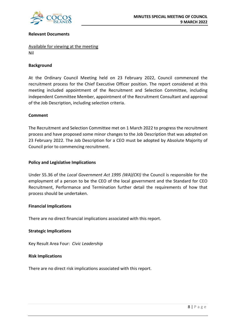

#### **Relevant Documents**

Available for viewing at the meeting Nil

#### **Background**

At the Ordinary Council Meeting held on 23 February 2022, Council commenced the recruitment process for the Chief Executive Officer position. The report considered at this meeting included appointment of the Recruitment and Selection Committee, including independent Committee Member, appointment of the Recruitment Consultant and approval of the Job Description, including selection criteria.

#### **Comment**

The Recruitment and Selection Committee met on 1 March 2022 to progress the recruitment process and have proposed some minor changes to the Job Description that was adopted on 23 February 2022. The Job Description for a CEO must be adopted by Absolute Majority of Council prior to commencing recruitment.

#### **Policy and Legislative Implications**

Under S5.36 of the *Local Government Act 1995 (WA)(CKI)* the Council is responsible for the employment of a person to be the CEO of the local government and the Standard for CEO Recruitment, Performance and Termination further detail the requirements of how that process should be undertaken.

#### **Financial Implications**

There are no direct financial implications associated with this report.

#### **Strategic Implications**

Key Result Area Four: *Civic Leadership*

#### **Risk Implications**

There are no direct risk implications associated with this report.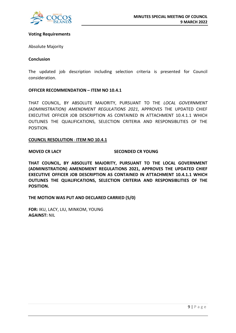

#### **Voting Requirements**

Absolute Majority

#### **Conclusion**

The updated job description including selection criteria is presented for Council consideration.

#### **OFFICER RECOMMENDATION – ITEM NO 10.4.1**

THAT COUNCIL, BY ABSOLUTE MAJORITY, PURSUANT TO THE *LOCAL GOVERNMENT (ADMINISTRATION) AMENDMENT REGULATIONS 2021*, APPROVES THE UPDATED CHIEF EXECUTIVE OFFICER JOB DESCRIPTION AS CONTAINED IN ATTACHMENT 10.4.1.1 WHICH OUTLINES THE QUALIFICATIONS, SELECTION CRITERIA AND RESPONSIBLITIES OF THE POSITION.

#### **COUNCIL RESOLUTION** - **ITEM NO 10.4.1**

#### **MOVED CR LACY SECONDED CR YOUNG**

**THAT COUNCIL, BY ABSOLUTE MAJORITY, PURSUANT TO THE LOCAL GOVERNMENT (ADMINISTRATION) AMENDMENT REGULATIONS 2021, APPROVES THE UPDATED CHIEF EXECUTIVE OFFICER JOB DESCRIPTION AS CONTAINED IN ATTACHMENT 10.4.1.1 WHICH OUTLINES THE QUALIFICATIONS, SELECTION CRITERIA AND RESPONSIBLITIES OF THE POSITION.**

**THE MOTION WAS PUT AND DECLARED CARRIED (5/0)**

**FOR:** IKU, LACY, LIU, MINKOM, YOUNG **AGAINST:** NIL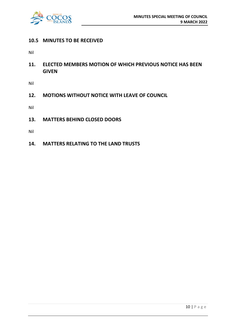

### **10.5 MINUTES TO BE RECEIVED**

Nil

**11. ELECTED MEMBERS MOTION OF WHICH PREVIOUS NOTICE HAS BEEN GIVEN**

Nil

**12. MOTIONS WITHOUT NOTICE WITH LEAVE OF COUNCIL**

Nil

**13. MATTERS BEHIND CLOSED DOORS**

Nil

**14. MATTERS RELATING TO THE LAND TRUSTS**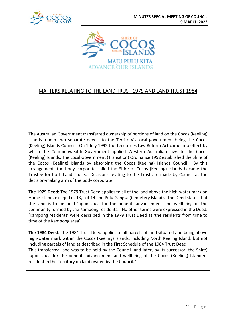



# MATTERS RELATING TO THE LAND TRUST 1979 AND LAND TRUST 1984

The Australian Government transferred ownership of portions of land on the Cocos (Keeling) Islands, under two separate deeds, to the Territory's local government being the Cocos (Keeling) Islands Council. On 1 July 1992 the Territories Law Reform Act came into effect by which the Commonwealth Government applied Western Australian laws to the Cocos (Keeling) Islands. The Local Government (Transition) Ordinance 1992 established the Shire of the Cocos (Keeling) Islands by absorbing the Cocos (Keeling) Islands Council. By this arrangement, the body corporate called the Shire of Cocos (Keeling) Islands became the Trustee for both Land Trusts. Decisions relating to the Trust are made by Council as the decision-making arm of the body corporate.

**The 1979 Deed:** The 1979 Trust Deed applies to all of the land above the high-water mark on Home Island, except Lot 13, Lot 14 and Pulu Gangsa (Cemetery Island). The Deed states that the land is to be held 'upon trust for the benefit, advancement and wellbeing of the community formed by the Kampong residents.' No other terms were expressed in the Deed. 'Kampong residents' were described in the 1979 Trust Deed as 'the residents from time to time of the Kampong area'.

**The 1984 Deed:** The 1984 Trust Deed applies to all parcels of land situated and being above high-water mark within the Cocos (Keeling) Islands, including North Keeling Island, but not including parcels of land as described in the First Schedule of the 1984 Trust Deed. This transferred land was to be held by the Council (and later, by its successor, the Shire)

'upon trust for the benefit, advancement and wellbeing of the Cocos (Keeling) Islanders resident in the Territory on land owned by the Council."